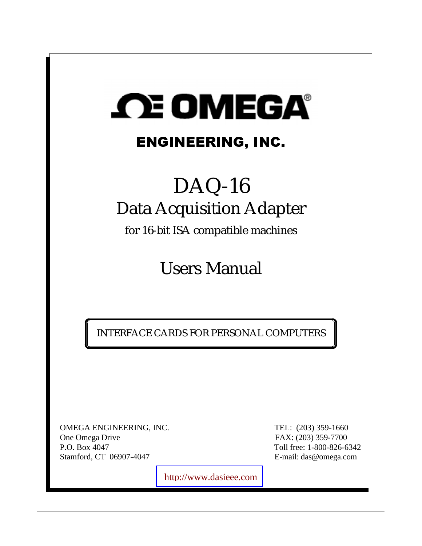# *CEOMEGA*

# ENGINEERING, INC.

# DAQ-16 Data Acquisition Adapter

for 16-bit ISA compatible machines

Users Manual

INTERFACE CARDS FOR PERSONAL COMPUTERS

OMEGA ENGINEERING, INC. TEL: (203) 359-1660 One Omega Drive FAX: (203) 359-7700 P.O. Box 4047 Toll free: 1-800-826-6342 Stamford, CT 06907-4047 E-mail: das@omega.com

[http://www.dasieee.com](http://www.dasieee.com/)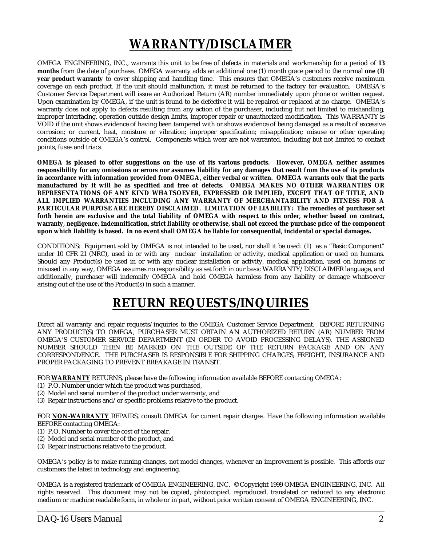# **WARRANTY/DISCLAIMER**

OMEGA ENGINEERING, INC., warrants this unit to be free of defects in materials and workmanship for a period of **13 months** from the date of purchase. OMEGA warranty adds an additional one (1) month grace period to the normal **one (1) year product warranty** to cover shipping and handling time. This ensures that OMEGA's customers receive maximum coverage on each product. If the unit should malfunction, it must be returned to the factory for evaluation. OMEGA's Customer Service Department will issue an Authorized Return (AR) number immediately upon phone or written request. Upon examination by OMEGA, if the unit is found to be defective it will be repaired or replaced at no charge. OMEGA's warranty does not apply to defects resulting from any action of the purchaser, including but not limited to mishandling, improper interfacing, operation outside design limits, improper repair or unauthorized modification. This WARRANTY is VOID if the unit shows evidence of having been tampered with or shows evidence of being damaged as a result of excessive corrosion; or current, heat, moisture or vibration; improper specification; misapplication; misuse or other operating conditions outside of OMEGA's control. Components which wear are not warranted, including but not limited to contact points, fuses and triacs.

**OMEGA is pleased to offer suggestions on the use of its various products. However, OMEGA neither assumes responsibility for any omissions or errors nor assumes liability for any damages that result from the use of its products in accordance with information provided from OMEGA, either verbal or written. OMEGA warrants only that the parts manufactured by it will be as specified and free of defects. OMEGA MAKES NO OTHER WARRANTIES OR REPRESENTATIONS OF ANY KIND WHATSOEVER, EXPRESSED OR IMPLIED, EXCEPT THAT OF TITLE, AND ALL IMPLIED WARRANTIES INCLUDING ANY WARRANTY OF MERCHANTABILITY AND FITNESS FOR A PARTICULAR PURPOSE ARE HEREBY DISCLAIMED. LIMITATION OF LIABILITY: The remedies of purchaser set forth herein are exclusive and the total liability of OMEGA with respect to this order, whether based on contract, warranty, negligence, indemnification, strict liability or otherwise, shall not exceed the purchase price of the component upon which liability is based. In no event shall OMEGA be liable for consequential, incidental or special damages.**

CONDITIONS: Equipment sold by OMEGA is not intended to be used**,** nor shall it be used: (1) as a "Basic Component" under 10 CFR 21 (NRC), used in or with any nuclear installation or activity, medical application or used on humans. Should any Product(s) be used in or with any nuclear installation or activity, medical application, used on humans or misused in any way, OMEGA assumes no responsibility as set forth in our basic WARRANTY/DISCLAIMER language, and additionally, purchaser will indemnify OMEGA and hold OMEGA harmless from any liability or damage whatsoever arising out of the use of the Product(s) in such a manner.

## **RETURN REQUESTS/INQUIRIES**

Direct all warranty and repair requests/inquiries to the OMEGA Customer Service Department. BEFORE RETURNING ANY PRODUCT(S) TO OMEGA, PURCHASER MUST OBTAIN AN AUTHORIZED RETURN (AR) NUMBER FROM OMEGA'S CUSTOMER SERVICE DEPARTMENT (IN ORDER TO AVOID PROCESSING DELAYS). THE ASSIGNED NUMBER SHOULD THEN BE MARKED ON THE OUTSIDE OF THE RETURN PACKAGE AND ON ANY CORRESPONDENCE. THE PURCHASER IS RESPONSIBLE FOR SHIPPING CHARGES, FREIGHT, INSURANCE AND PROPER PACKAGING TO PREVENT BREAKAGE IN TRANSIT.

FOR **WARRANTY** RETURNS, please have the following information available BEFORE contacting OMEGA:

- (1) P.O. Number under which the product was purchased,
- (2) Model and serial number of the product under warranty, and
- (3) Repair instructions and/or specific problems relative to the product.

FOR **NON-WARRANTY** REPAIRS, consult OMEGA for current repair charges. Have the following information available BEFORE contacting OMEGA:

- (1) P.O. Number to cover the cost of the repair,
- (2) Model and serial number of the product, and
- (3) Repair instructions relative to the product.

OMEGA's policy is to make running changes, not model changes, whenever an improvement is possible. This affords our customers the latest in technology and engineering.

OMEGA is a registered trademark of OMEGA ENGINEERING, INC. © Copyright 1999 OMEGA ENGINEERING, INC. All rights reserved. This document may not be copied, photocopied, reproduced, translated or reduced to any electronic medium or machine readable form, in whole or in part, without prior written consent of OMEGA ENGINEERING, INC.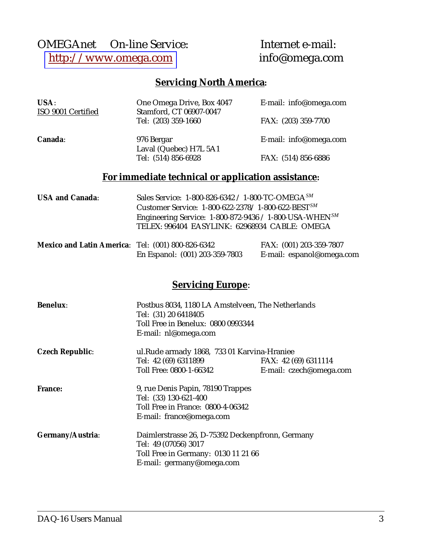### OMEGAnet<br>
© On-line Service: Internet e-mail:<br>
http://www.omega.com<br>
info@omega.com [http://www.omega.com](http://www.omega.com/)

### **Servicing North America:**

| USA:<br>ISO 9001 Certified | One Omega Drive, Box 4047<br>Stamford, CT 06907-0047         | E-mail: info@omega.com |
|----------------------------|--------------------------------------------------------------|------------------------|
|                            | Tel: (203) 359-1660                                          | FAX: (203) 359-7700    |
| Canada:                    | 976 Bergar<br>Laval (Quebec) H7L 5A1                         | E-mail: info@omega.com |
|                            | Tel: (514) 856-6928                                          | FAX: (514) 856-6886    |
|                            | For immediate technical or application assistance:           |                        |
| <b>USA and Canada:</b>     | Sales Service: 1-800-826-6342 / 1-800-TC-OMEGA <sup>SM</sup> |                        |

| <b>USA and Canada:</b> | Sales Service: 1-800-826-6342 / 1-800-TC-OMEGA <sup>374</sup>         |
|------------------------|-----------------------------------------------------------------------|
|                        | Customer Service: 1-800-622-2378/1-800-622-BEST <sup>SM</sup>         |
|                        | Engineering Service: $1-800-872-9436 / 1-800$ -USA-WHEN <sup>SM</sup> |
|                        | TELEX: 996404 EASYLINK: 62968934 CABLE: OMEGA                         |
|                        |                                                                       |

| Mexico and Latin America: Tel: (001) 800-826-6342 |                                | FAX: (001) 203-359-7807   |
|---------------------------------------------------|--------------------------------|---------------------------|
|                                                   | En Espanol: (001) 203-359-7803 | E-mail: espanol@omega.com |

#### **Servicing Europe**:

| <b>Benelux:</b>        | Postbus 8034, 1180 LA Amstelveen, The Netherlands<br>Tel: (31) 20 6418405<br>Toll Free in Benelux: 0800 0993344<br>E-mail: nl@omega.com |                         |
|------------------------|-----------------------------------------------------------------------------------------------------------------------------------------|-------------------------|
| <b>Czech Republic:</b> | ul.Rude armady 1868, 733 01 Karvina-Hraniee                                                                                             |                         |
|                        | Tel: 42 (69) 6311899                                                                                                                    | FAX: 42 (69) 6311114    |
|                        | Toll Free: 0800-1-66342                                                                                                                 | E-mail: czech@omega.com |
| <b>France:</b>         | 9, rue Denis Papin, 78190 Trappes                                                                                                       |                         |
|                        | Tel: (33) 130-621-400                                                                                                                   |                         |
|                        | Toll Free in France: 0800-4-06342                                                                                                       |                         |
|                        | E-mail: france@omega.com                                                                                                                |                         |
| Germany/Austria:       | Daimlerstrasse 26, D-75392 Deckenpfronn, Germany                                                                                        |                         |
|                        | Tel: 49 (07056) 3017                                                                                                                    |                         |
|                        | Toll Free in Germany: 0130 11 21 66                                                                                                     |                         |
|                        | E-mail: germany@omega.com                                                                                                               |                         |
|                        |                                                                                                                                         |                         |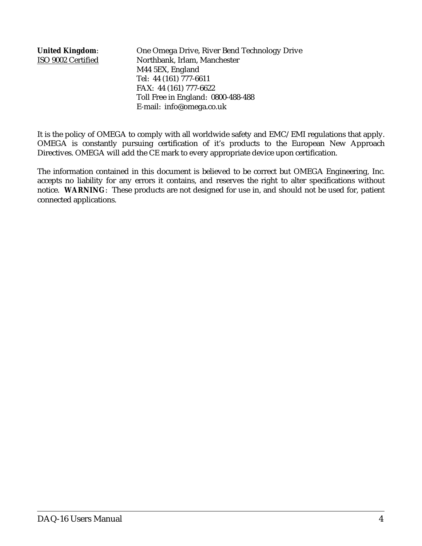**United Kingdom**: One Omega Drive, River Bend Technology Drive ISO 9002 Certified Northbank, Irlam, Manchester M44 5EX, England Tel: 44 (161) 777-6611 FAX: 44 (161) 777-6622 Toll Free in England: 0800-488-488 E-mail: info@omega.co.uk

It is the policy of OMEGA to comply with all worldwide safety and EMC/EMI regulations that apply. OMEGA is constantly pursuing certification of it's products to the European New Approach Directives. OMEGA will add the CE mark to every appropriate device upon certification.

The information contained in this document is believed to be correct but OMEGA Engineering, Inc. accepts no liability for any errors it contains, and reserves the right to alter specifications without notice. **WARNING**: These products are not designed for use in, and should not be used for, patient connected applications.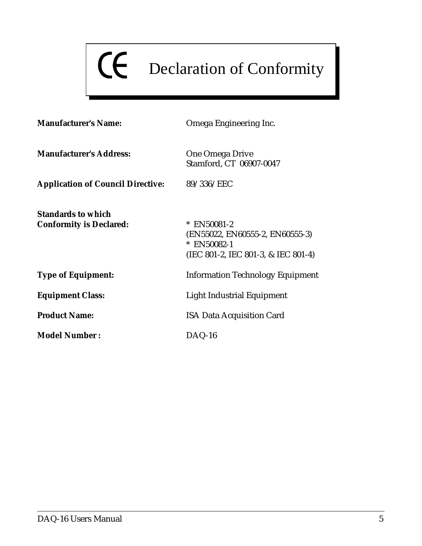# CE Declaration of Conformity

| <b>Manufacturer's Name:</b>                                 | Omega Engineering Inc.                                                                                 |  |
|-------------------------------------------------------------|--------------------------------------------------------------------------------------------------------|--|
| <b>Manufacturer's Address:</b>                              | <b>One Omega Drive</b><br>Stamford, CT 06907-0047                                                      |  |
| <b>Application of Council Directive:</b>                    | 89/336/EEC                                                                                             |  |
| <b>Standards to which</b><br><b>Conformity is Declared:</b> | * EN50081-2<br>(EN55022, EN60555-2, EN60555-3)<br>$*$ EN50082-1<br>(IEC 801-2, IEC 801-3, & IEC 801-4) |  |
| <b>Type of Equipment:</b>                                   | <b>Information Technology Equipment</b>                                                                |  |
| <b>Equipment Class:</b>                                     | Light Industrial Equipment                                                                             |  |
| <b>Product Name:</b>                                        | <b>ISA Data Acquisition Card</b>                                                                       |  |
| <b>Model Number:</b>                                        | $DAQ-16$                                                                                               |  |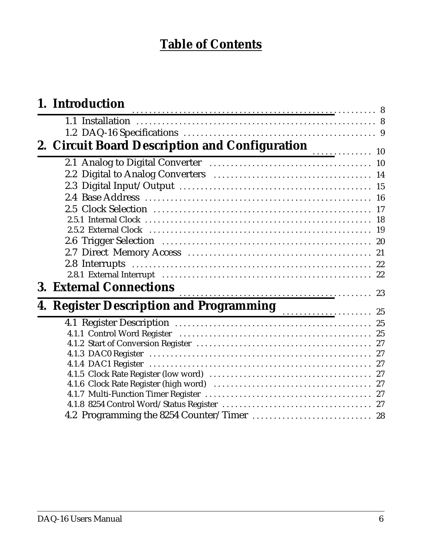# **Table of Contents**

| 1. Introduction                                                        |  |
|------------------------------------------------------------------------|--|
|                                                                        |  |
| 2. Circuit Board Description and Configuration<br>$\overline{\bullet}$ |  |
|                                                                        |  |
|                                                                        |  |
|                                                                        |  |
|                                                                        |  |
|                                                                        |  |
|                                                                        |  |
|                                                                        |  |
|                                                                        |  |
|                                                                        |  |
|                                                                        |  |
|                                                                        |  |
| <b>3. External Connections</b>                                         |  |
|                                                                        |  |
| 4. Register Description and Programming Material of 25                 |  |
|                                                                        |  |
|                                                                        |  |
|                                                                        |  |
|                                                                        |  |
|                                                                        |  |
|                                                                        |  |
|                                                                        |  |
|                                                                        |  |
| 4.2 Programming the 8254 Counter/Timer  28                             |  |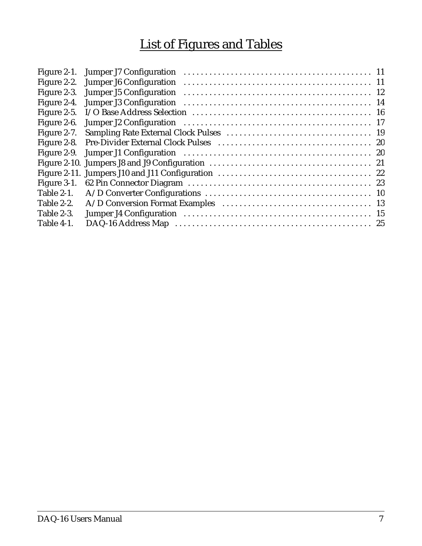# List of Figures and Tables

| Figure 2-1.       |  |
|-------------------|--|
| Figure 2-2.       |  |
| Figure 2-3.       |  |
| Figure 2-4.       |  |
| Figure 2-5.       |  |
| Figure 2-6.       |  |
| Figure 2-7.       |  |
| Figure 2-8.       |  |
| Figure 2-9.       |  |
|                   |  |
|                   |  |
| Figure 3-1.       |  |
| <b>Table 2-1.</b> |  |
| Table 2-2.        |  |
| Table 2-3.        |  |
| Table 4-1.        |  |
|                   |  |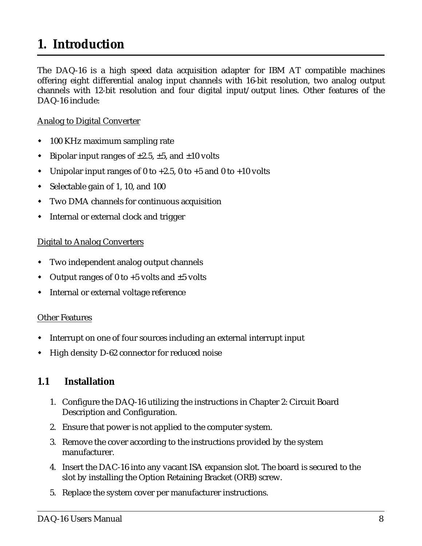# <span id="page-7-0"></span>**1. Introduction**

The DAQ-16 is a high speed data acquisition adapter for IBM AT compatible machines offering eight differential analog input channels with 16-bit resolution, two analog output channels with 12-bit resolution and four digital input/output lines. Other features of the DAQ-16 include:

#### Analog to Digital Converter

- $\blacklozenge$ 100 KHz maximum sampling rate
- $\overline{a}$ Bipolar input ranges of  $\pm 2.5$ ,  $\pm 5$ , and  $\pm 10$  volts
- $\overline{a}$ Unipolar input ranges of 0 to  $+2.5$ , 0 to  $+5$  and 0 to  $+10$  volts
- $\blacklozenge$ Selectable gain of 1, 10, and 100
- $\overline{a}$ Two DMA channels for continuous acquisition
- $\blacklozenge$ Internal or external clock and trigger

#### Digital to Analog Converters

- $\overline{a}$ Two independent analog output channels
- $\blacklozenge$ Output ranges of 0 to  $+5$  volts and  $\pm 5$  volts
- $\blacklozenge$ Internal or external voltage reference

#### Other Features

- $\overline{a}$ Interrupt on one of four sources including an external interrupt input
- $\overline{a}$ High density D-62 connector for reduced noise

#### **1.1 Installation**

- 1. Configure the DAQ-16 utilizing the instructions in Chapter 2: Circuit Board Description and Configuration.
- 2. Ensure that power is not applied to the computer system.
- 3. Remove the cover according to the instructions provided by the system manufacturer.
- 4. Insert the DAC-16 into any vacant ISA expansion slot. The board is secured to the slot by installing the Option Retaining Bracket (ORB) screw.
- 5. Replace the system cover per manufacturer instructions.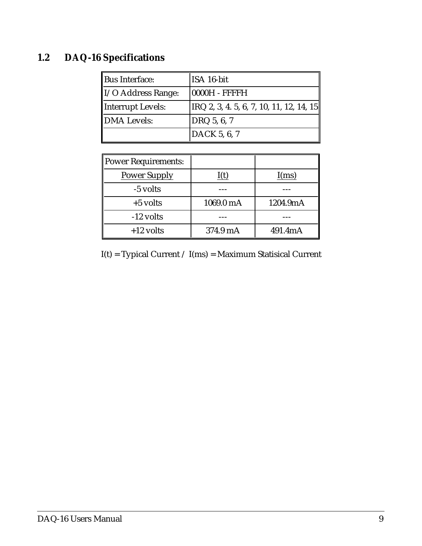# **1.2 DAQ-16 Specifications**

| Bus Interface:                 | ISA 16-bit                                        |
|--------------------------------|---------------------------------------------------|
| $\parallel$ I/O Address Range: | $10000H - FFFFH$                                  |
| Interrupt Levels:              | $ {\rm IRQ}$ 2, 3, 4. 5, 6, 7, 10, 11, 12, 14, 15 |
| DMA Levels:                    | DRQ 5, 6, 7                                       |
|                                | DACK 5, 6, 7                                      |

| Power Requirements: |           |          |
|---------------------|-----------|----------|
| <b>Power Supply</b> | I(t)      | I(ms)    |
| -5 volts            |           |          |
| $+5$ volts          | 1069.0 mA | 1204.9mA |
| -12 volts           |           |          |
| $+12$ volts         | 374.9 mA  | 491.4mA  |

I(t) = Typical Current / I(ms) = Maximum Statisical Current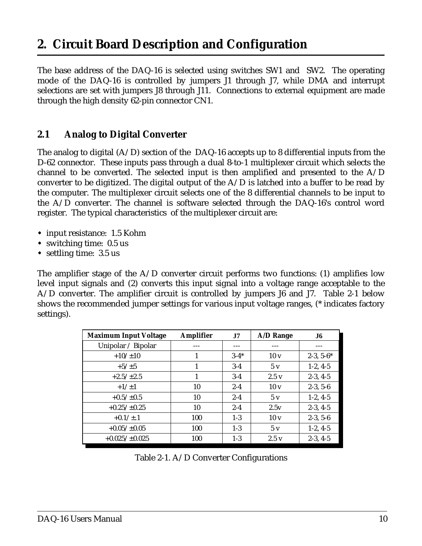# <span id="page-9-0"></span>**2. Circuit Board Description and Configuration**

The base address of the DAQ-16 is selected using switches SW1 and SW2. The operating mode of the DAQ-16 is controlled by jumpers J1 through J7, while DMA and interrupt selections are set with jumpers J8 through J11. Connections to external equipment are made through the high density 62-pin connector CN1.

#### **2.1 Analog to Digital Converter**

The analog to digital  $(A/D)$  section of the DAQ-16 accepts up to 8 differential inputs from the D-62 connector. These inputs pass through a dual 8-to-1 multiplexer circuit which selects the channel to be converted. The selected input is then amplified and presented to the A/D converter to be digitized. The digital output of the  $A/D$  is latched into a buffer to be read by the computer. The multiplexer circuit selects one of the 8 differential channels to be input to the A/D converter. The channel is software selected through the DAQ-16's control word register. The typical characteristics of the multiplexer circuit are:

- input resistance: 1.5 Kohm
- switching time: 0.5 us
- settling time: 3.5 us

The amplifier stage of the  $A/D$  converter circuit performs two functions: (1) amplifies low level input signals and (2) converts this input signal into a voltage range acceptable to the A/D converter. The amplifier circuit is controlled by jumpers J6 and J7. Table 2-1 below shows the recommended jumper settings for various input voltage ranges, (\* indicates factory settings).

| <b>Maximum Input Voltage</b> | <b>Amplifier</b> | J7       | A/D Range       | J6          |
|------------------------------|------------------|----------|-----------------|-------------|
| Unipolar / Bipolar           |                  |          |                 |             |
| $+10/\pm 10$                 | 1                | $3 - 4*$ | 10v             | $2-3, 5-6*$ |
| $+5/\pm 5$                   |                  | $3-4$    | 5v              | $1-2, 4-5$  |
| $+2.5/\pm 2.5$               | 1                | $3-4$    | 2.5v            | $2-3, 4-5$  |
| $+1/+1$                      | 10               | $2 - 4$  | 10 <sub>v</sub> | $2-3, 5-6$  |
| $+0.5/\pm0.5$                | 10               | $2 - 4$  | 5v              | $1-2, 4-5$  |
| $+0.25/\pm0.25$              | 10               | $2 - 4$  | 2.5v            | $2-3, 4-5$  |
| $+0.1/\pm.1$                 | 100              | $1-3$    | 10 <sub>v</sub> | $2-3, 5-6$  |
| $+0.05/\pm0.05$              | 100              | $1 - 3$  | 5v              | $1-2, 4-5$  |
| $+0.025/\pm0.025$            | 100              | $1-3$    | 2.5v            | $2-3, 4-5$  |

Table 2-1. A/D Converter Configurations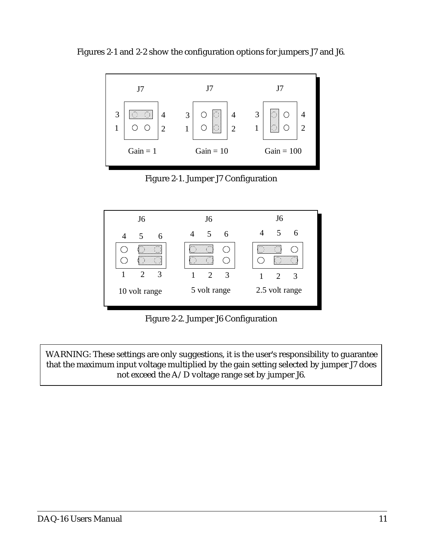



Figure 2-1. Jumper J7 Configuration



Figure 2-2. Jumper J6 Configuration

WARNING: These settings are only suggestions, it is the user's responsibility to guarantee that the maximum input voltage multiplied by the gain setting selected by jumper J7 does not exceed the A/D voltage range set by jumper J6.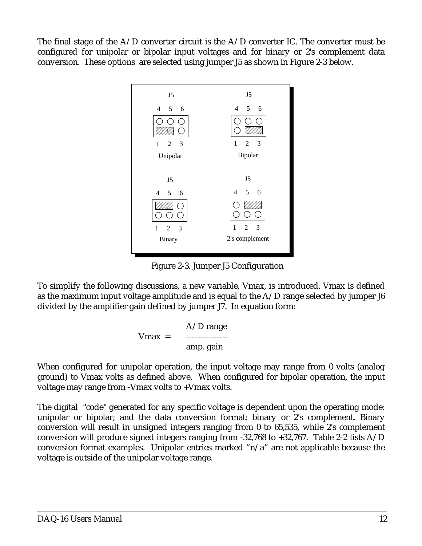The final stage of the  $A/D$  converter circuit is the  $A/D$  converter IC. The converter must be configured for unipolar or bipolar input voltages and for binary or 2's complement data conversion. These options are selected using jumper J5 as shown in Figure 2-3 below.



Figure 2-3. Jumper J5 Configuration

To simplify the following discussions, a new variable, Vmax, is introduced. Vmax is defined as the maximum input voltage amplitude and is equal to the A/D range selected by jumper J6 divided by the amplifier gain defined by jumper J7. In equation form:

$$
Nmax = \begin{cases} A/D range \\ \text{mm. gain} \end{cases}
$$

When configured for unipolar operation, the input voltage may range from 0 volts (analog ground) to Vmax volts as defined above. When configured for bipolar operation, the input voltage may range from -Vmax volts to +Vmax volts.

The digital "code" generated for any specific voltage is dependent upon the operating mode: unipolar or bipolar; and the data conversion format: binary or 2's complement. Binary conversion will result in unsigned integers ranging from 0 to 65,535, while 2's complement conversion will produce signed integers ranging from -32,768 to +32,767. Table 2-2 lists A/D conversion format examples. Unipolar entries marked "n/a" are not applicable because the voltage is outside of the unipolar voltage range.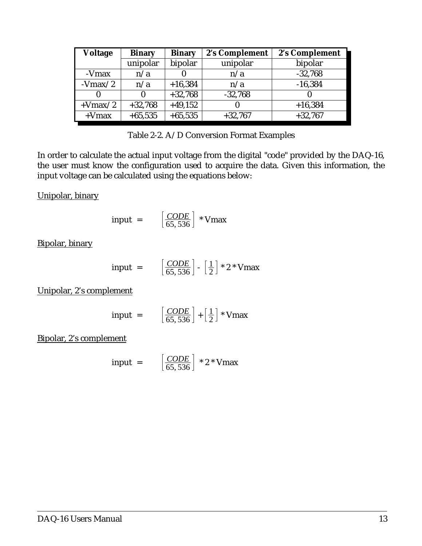| Voltage   | <b>Binary</b> | <b>Binary</b> | 2's Complement | 2's Complement |
|-----------|---------------|---------------|----------------|----------------|
|           | unipolar      | bipolar       | unipolar       | bipolar        |
| -Vmax     | n/a           |               | n/a            | $-32,768$      |
| $-Vmax/2$ | n/a           | $+16,384$     | n/a            | $-16,384$      |
|           |               | $+32,768$     | $-32,768$      |                |
| $+Vmax/2$ | $+32,768$     | $+49,152$     |                | $+16,384$      |
| $+V$ max  | $+65,535$     | $+65,535$     | $+32,767$      | $+32,767$      |

| Table 2-2. A/D Conversion Format Examples |  |
|-------------------------------------------|--|
|-------------------------------------------|--|

In order to calculate the actual input voltage from the digital "code" provided by the DAQ-16, the user must know the configuration used to acquire the data. Given this information, the input voltage can be calculated using the equations below:

Unipolar, binary

$$
input = \left[\frac{CODE}{65,536}\right] * Vmax
$$

Bipolar, binary

$$
input = \left[\frac{CODE}{65,536}\right] - \left[\frac{1}{2}\right] * 2 * Vmax
$$

Unipolar, 2's complement

$$
input = \left[\frac{CODE}{65,536}\right] + \left[\frac{1}{2}\right] * Vmax
$$

Bipolar, 2's complement

$$
input = \left[\frac{CODE}{65,536}\right] * 2 * Vmax
$$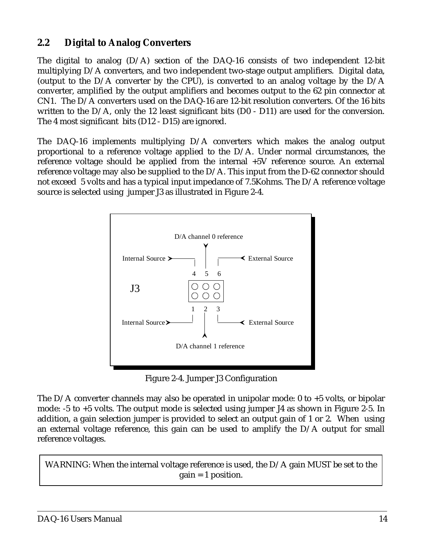#### **2.2 Digital to Analog Converters**

The digital to analog  $(D/A)$  section of the DAQ-16 consists of two independent 12-bit multiplying D/A converters, and two independent two-stage output amplifiers. Digital data, (output to the D/A converter by the CPU), is converted to an analog voltage by the D/A converter, amplified by the output amplifiers and becomes output to the 62 pin connector at CN1. The D/A converters used on the DAQ-16 are 12-bit resolution converters. Of the 16 bits written to the  $D/A$ , only the 12 least significant bits  $(D0 - D11)$  are used for the conversion. The 4 most significant bits (D12 - D15) are ignored.

The DAQ-16 implements multiplying D/A converters which makes the analog output proportional to a reference voltage applied to the D/A. Under normal circumstances, the reference voltage should be applied from the internal +5V reference source. An external reference voltage may also be supplied to the D/A. This input from the D-62 connector should not exceed 5 volts and has a typical input impedance of 7.5Kohms. The D/A reference voltage source is selected using jumper J3 as illustrated in Figure 2-4.



Figure 2-4. Jumper J3 Configuration

The D/A converter channels may also be operated in unipolar mode: 0 to +5 volts, or bipolar mode: -5 to +5 volts. The output mode is selected using jumper J4 as shown in Figure 2-5. In addition, a gain selection jumper is provided to select an output gain of 1 or 2. When using an external voltage reference, this gain can be used to amplify the D/A output for small reference voltages.

WARNING: When the internal voltage reference is used, the D/A gain MUST be set to the  $gain = 1$  position.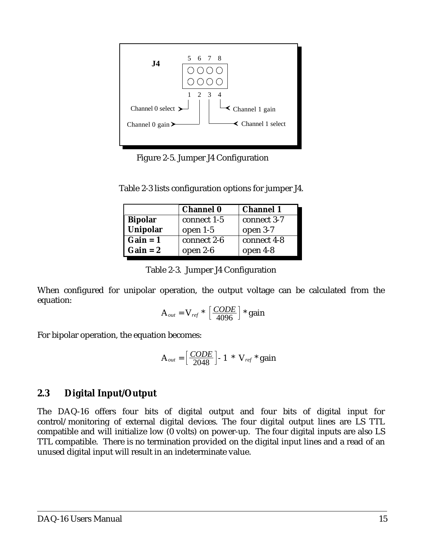

Figure 2-5. Jumper J4 Configuration

| Table 2-3 lists configuration options for jumper J4. |  |
|------------------------------------------------------|--|
|------------------------------------------------------|--|

|            | <b>Channel 0</b> | <b>Channel 1</b> |
|------------|------------------|------------------|
| Bipolar    | connect 1-5      | connect 3-7      |
| Unipolar   | open $1-5$       | open 3-7         |
| $Gain = 1$ | connect 2-6      | connect 4-8      |
| Gain = 2   | open 2-6         | open $4-8$       |

Table 2-3. Jumper J4 Configuration

When configured for unipolar operation, the output voltage can be calculated from the equation:

$$
A_{out} = V_{ref} * \left[ \frac{CODE}{4096} \right] * gain
$$

For bipolar operation, the equation becomes:

$$
A_{out} = \left[\frac{CODE}{2048}\right] \cdot 1 * V_{ref} * gain
$$

#### **2.3 Digital Input/Output**

The DAQ-16 offers four bits of digital output and four bits of digital input for control/monitoring of external digital devices. The four digital output lines are LS TTL compatible and will initialize low (0 volts) on power-up. The four digital inputs are also LS TTL compatible. There is no termination provided on the digital input lines and a read of an unused digital input will result in an indeterminate value.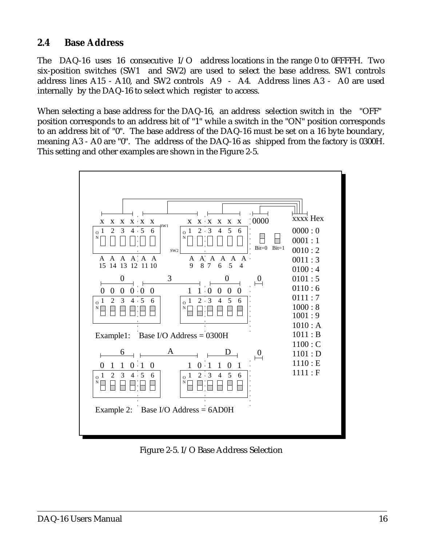#### **2.4 Base Address**

The DAQ-16 uses 16 consecutive I/O address locations in the range 0 to 0FFFFH. Two six-position switches (SW1 and SW2) are used to select the base address. SW1 controls address lines A15 - A10, and SW2 controls A9 - A4. Address lines A3 - A0 are used internally by the DAQ-16 to select which register to access.

When selecting a base address for the DAQ-16, an address selection switch in the "OFF" position corresponds to an address bit of "1" while a switch in the "ON" position corresponds to an address bit of "0". The base address of the DAQ-16 must be set on a 16 byte boundary, meaning A3 - A0 are "0". The address of the DAQ-16 as shipped from the factory is 0300H. This setting and other examples are shown in the Figure 2-5.



Figure 2-5. I/O Base Address Selection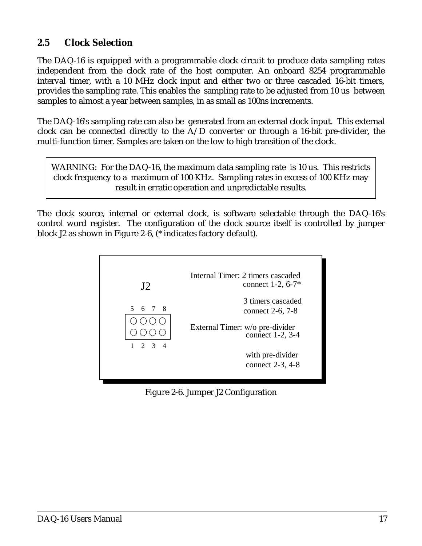#### **2.5 Clock Selection**

The DAQ-16 is equipped with a programmable clock circuit to produce data sampling rates independent from the clock rate of the host computer. An onboard 8254 programmable interval timer, with a 10 MHz clock input and either two or three cascaded 16-bit timers, provides the sampling rate. This enables the sampling rate to be adjusted from 10 us between samples to almost a year between samples, in as small as 100ns increments.

The DAQ-16's sampling rate can also be generated from an external clock input. This external clock can be connected directly to the A/D converter or through a 16-bit pre-divider, the multi-function timer. Samples are taken on the low to high transition of the clock.

WARNING: For the DAQ-16, the maximum data sampling rate is 10 us. This restricts clock frequency to a maximum of 100 KHz. Sampling rates in excess of 100 KHz may result in erratic operation and unpredictable results.

The clock source, internal or external clock, is software selectable through the DAQ-16's control word register. The configuration of the clock source itself is controlled by jumper block J2 as shown in Figure 2-6, (\* indicates factory default).



Figure 2-6. Jumper J2 Configuration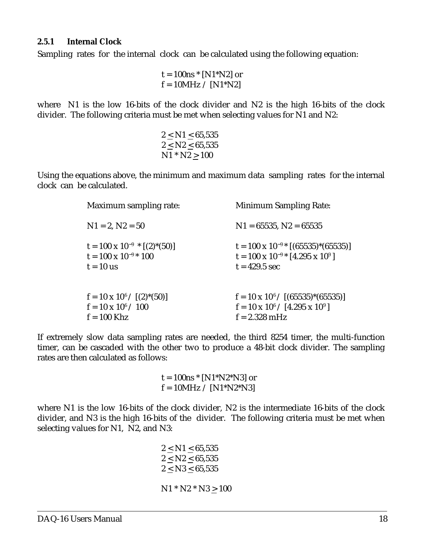#### **2.5.1 Internal Clock**

Sampling rates for the internal clock can be calculated using the following equation:

 $t = 100$ ns  $*$  [N1 $*$ N2] or  $f = 10MHz / [N1*N2]$ 

where N1 is the low 16-bits of the clock divider and N2 is the high 16-bits of the clock divider. The following criteria must be met when selecting values for N1 and N2:

$$
\begin{array}{c} 2 \leq \mathrm{N1} \leq 65,535 \\ 2 \leq \mathrm{N2} \leq 65,535 \\ \mathrm{N1} * \mathrm{N2} \geq 100 \end{array}
$$

Using the equations above, the minimum and maximum data sampling rates for the internal clock can be calculated.

| Maximum sampling rate:                                                                | <b>Minimum Sampling Rate:</b>                                                                                          |
|---------------------------------------------------------------------------------------|------------------------------------------------------------------------------------------------------------------------|
| $N1 = 2, N2 = 50$                                                                     | $N1 = 65535, N2 = 65535$                                                                                               |
| $t = 100 \times 10^{-9}$ * [(2)*(50)]<br>$t = 100 \times 10^{-9*} 100$<br>$t = 10$ us | $t = 100 \times 10^{-9*} [(65535)^*(65535)]$<br>$t = 100 \times 10^{-9}$ [4.295 x 10 <sup>9</sup> ]<br>$t = 429.5$ sec |
| $f = 10 \times 10^6 / [(2)^*(50)]$<br>$f = 10 \times 10^6 / 100$<br>$f = 100$ Khz     | $f = 10 \times 10^{6} / [(65535)^*(65535)]$<br>$f = 10 \times 10^6 / [4.295 \times 10^9]$<br>$f = 2.328$ mHz           |

If extremely slow data sampling rates are needed, the third 8254 timer, the multi-function timer, can be cascaded with the other two to produce a 48-bit clock divider. The sampling rates are then calculated as follows:

> $t = 100$ ns \* [N1\*N2\*N3] or  $f = 10MHz / [N1*N2*N3]$

where N1 is the low 16-bits of the clock divider, N2 is the intermediate 16-bits of the clock divider, and N3 is the high 16-bits of the divider. The following criteria must be met when selecting values for N1, N2, and N3:

> $2 < N1 < 65,535$  $2 \le N2 \le 65,535$  $2 \leq N3 \leq 65,535$  $N1 * N2 * N3 \ge 100$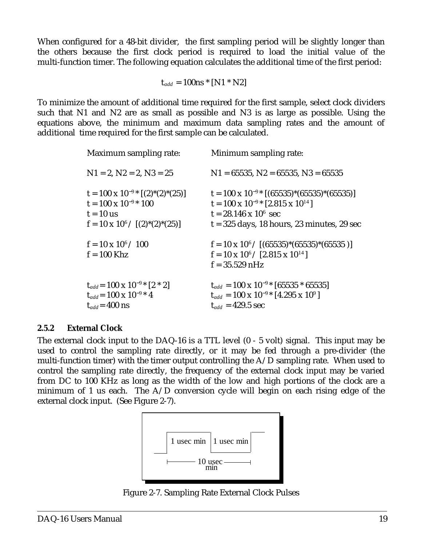When configured for a 48-bit divider, the first sampling period will be slightly longer than the others because the first clock period is required to load the initial value of the multi-function timer. The following equation calculates the additional time of the first period:

 $t_{add} = 100$ ns \* [N1 \* N2]

To minimize the amount of additional time required for the first sample, select clock dividers such that N1 and N2 are as small as possible and N3 is as large as possible. Using the equations above, the minimum and maximum data sampling rates and the amount of additional time required for the first sample can be calculated.

| Maximum sampling rate:                                                                                                                 | Minimum sampling rate:                                                                                                                                                                      |
|----------------------------------------------------------------------------------------------------------------------------------------|---------------------------------------------------------------------------------------------------------------------------------------------------------------------------------------------|
| $N1 = 2$ , $N2 = 2$ , $N3 = 25$                                                                                                        | $N1 = 65535$ , $N2 = 65535$ , $N3 = 65535$                                                                                                                                                  |
| $t = 100 \times 10^{-9}$ $[(2)^*(2)^*(25)]$<br>$t = 100 \times 10^{-9*} 100$<br>$t = 10$ us<br>$f = 10 \times 10^6 / [(2)^*(2)^*(25)]$ | $t = 100 \times 10^{-9*}$ [(65535)*(65535)*(65535)]<br>$t = 100 \times 10^{-9}$ [2.815 x 10 <sup>14</sup> ]<br>$t = 28.146 \times 10^6$ sec<br>$t = 325$ days, 18 hours, 23 minutes, 29 sec |
| $f = 10 \times 10^6 / 100$<br>$f = 100$ Khz                                                                                            | $f = 10 \times 10^6 / [(65535)^*(65535)^*(65535)]$<br>$f = 10 \times 10^6 / [2.815 \times 10^{14}]$<br>$f = 35.529$ nHz                                                                     |
| $t_{add} = 100 \times 10^{-9}$ [2 * 2]<br>$t_{add} = 100 \times 10^{-9*}$ 4<br>$t_{add}$ = 400 ns                                      | $t_{add} = 100 \times 10^{-9*} [65535 * 65535]$<br>$t_{add} = 100 \times 10^{-9*} [4.295 \times 10^9]$<br>$t_{add} = 429.5$ sec                                                             |

#### **2.5.2 External Clock**

The external clock input to the DAQ-16 is a TTL level (0 - 5 volt) signal. This input may be used to control the sampling rate directly, or it may be fed through a pre-divider (the multi-function timer) with the timer output controlling the  $A/D$  sampling rate. When used to control the sampling rate directly, the frequency of the external clock input may be varied from DC to 100 KHz as long as the width of the low and high portions of the clock are a minimum of 1 us each. The  $A/D$  conversion cycle will begin on each rising edge of the external clock input. (See Figure 2-7).



Figure 2-7. Sampling Rate External Clock Pulses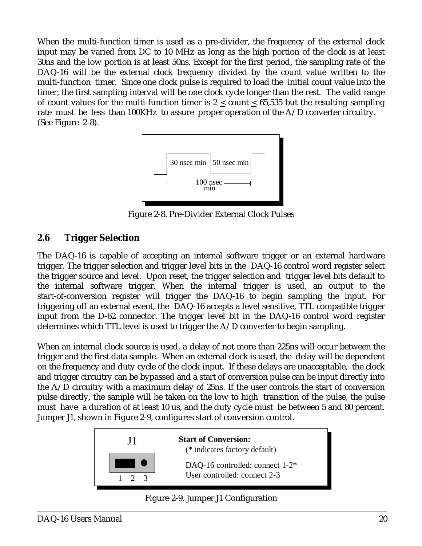When the multi-function timer is used as a pre-divider, the frequency of the external clock input may be varied from DC to 10 MHz as long as the high portion of the clock is at least 30ns and the low portion is at least 50ns. Except for the first period, the sampling rate of the DAQ-16 will be the external clock frequency divided by the count value written to the multi-function timer. Since one clock pulse is required to load the initial count value into the timer, the first sampling interval will be one clock cycle longer than the rest. The valid range of count values for the multi-function timer is  $2 <$  count  $< 65,535$  but the resulting sampling rate must be less than 100KHz to assure proper operation of the A/D converter circuitry. (See Figure 2-8).



Figure 2-8. Pre-Divider External Clock Pulses

#### **2.6 Trigger Selection**

The DAQ-16 is capable of accepting an internal software trigger or an external hardware trigger. The trigger selection and trigger level bits in the DAQ-16 control word register select the trigger source and level. Upon reset, the trigger selection and trigger level bits default to the internal software trigger. When the internal trigger is used, an output to the start-of-conversion register will trigger the DAQ-16 to begin sampling the input. For triggering off an external event, the DAQ-16 accepts a level sensitive, TTL compatible trigger input from the D-62 connector. The trigger level bit in the DAQ-16 control word register determines which TTL level is used to trigger the A/D converter to begin sampling.

When an internal clock source is used, a delay of not more than 225ns will occur between the trigger and the first data sample. When an external clock is used, the delay will be dependent on the frequency and duty cycle of the clock input. If these delays are unacceptable, the clock and trigger circuitry can be bypassed and a start of conversion pulse can be input directly into the A/D circuitry with a maximum delay of 25ns. If the user controls the start of conversion pulse directly, the sample will be taken on the low to high transition of the pulse, the pulse must have a duration of at least 10 us, and the duty cycle must be between 5 and 80 percent. Jumper J1, shown in Figure 2-9, configures start of conversion control.





Figure 2-9. Jumper J1 Configuration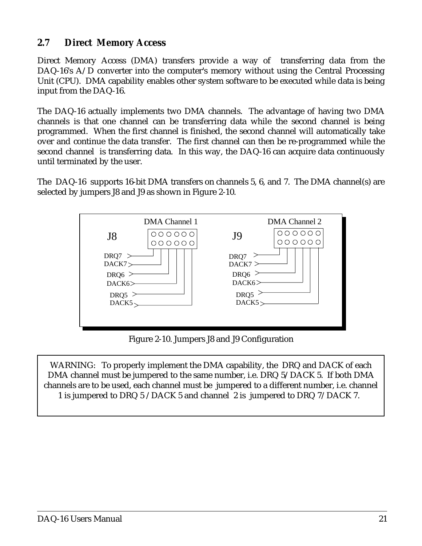#### **2.7 Direct Memory Access**

Direct Memory Access (DMA) transfers provide a way of transferring data from the DAQ-16's A/D converter into the computer's memory without using the Central Processing Unit (CPU). DMA capability enables other system software to be executed while data is being input from the DAQ-16.

The DAQ-16 actually implements two DMA channels. The advantage of having two DMA channels is that one channel can be transferring data while the second channel is being programmed. When the first channel is finished, the second channel will automatically take over and continue the data transfer. The first channel can then be re-programmed while the second channel is transferring data. In this way, the DAQ-16 can acquire data continuously until terminated by the user.

The DAQ-16 supports 16-bit DMA transfers on channels 5, 6, and 7. The DMA channel(s) are selected by jumpers J8 and J9 as shown in Figure 2-10.



Figure 2-10. Jumpers J8 and J9 Configuration

WARNING: To properly implement the DMA capability, the DRQ and DACK of each DMA channel must be jumpered to the same number, i.e. DRQ 5/DACK 5. If both DMA channels are to be used, each channel must be jumpered to a different number, i.e. channel 1 is jumpered to DRQ 5 /DACK 5 and channel 2 is jumpered to DRQ 7/DACK 7.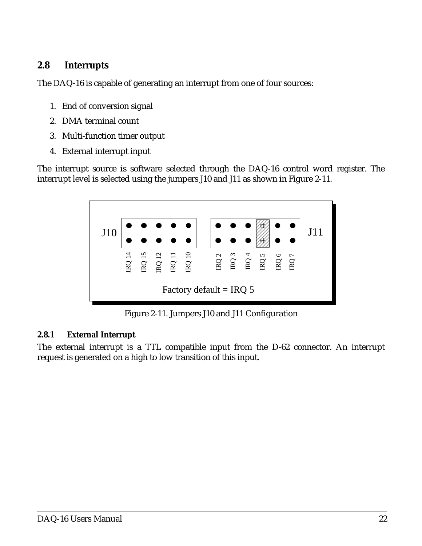#### **2.8 Interrupts**

The DAQ-16 is capable of generating an interrupt from one of four sources:

- 1. End of conversion signal
- 2. DMA terminal count
- 3. Multi-function timer output
- 4. External interrupt input

The interrupt source is software selected through the DAQ-16 control word register. The interrupt level is selected using the jumpers J10 and J11 as shown in Figure 2-11.



Figure 2-11. Jumpers J10 and J11 Configuration

#### **2.8.1 External Interrupt**

The external interrupt is a TTL compatible input from the D-62 connector. An interrupt request is generated on a high to low transition of this input.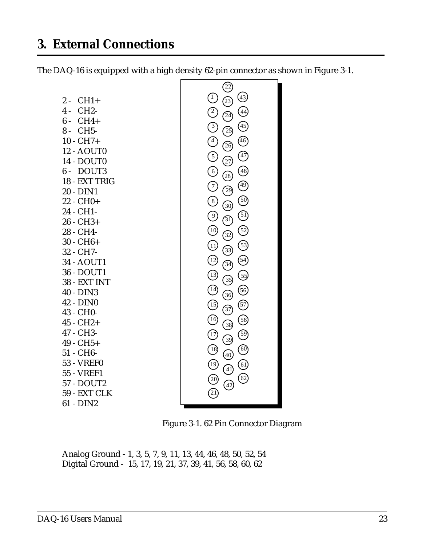# <span id="page-22-0"></span>**3. External Connections**

The DAQ-16 is equipped with a high density 62-pin connector as shown in Figure 3-1.



Figure 3-1. 62 Pin Connector Diagram

Analog Ground - 1, 3, 5, 7, 9, 11, 13, 44, 46, 48, 50, 52, 54 Digital Ground - 15, 17, 19, 21, 37, 39, 41, 56, 58, 60, 62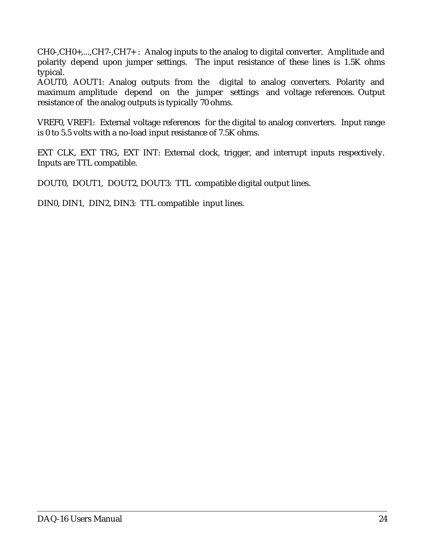CH0-,CH0+,...,CH7-,CH7+ : Analog inputs to the analog to digital converter. Amplitude and polarity depend upon jumper settings. The input resistance of these lines is 1.5K ohms typical.

AOUT0, AOUT1: Analog outputs from the digital to analog converters. Polarity and maximum amplitude depend on the jumper settings and voltage references. Output resistance of the analog outputs is typically 70 ohms.

VREF0, VREF1: External voltage references for the digital to analog converters. Input range is 0 to 5.5 volts with a no-load input resistance of 7.5K ohms.

EXT CLK, EXT TRG, EXT INT: External clock, trigger, and interrupt inputs respectively. Inputs are TTL compatible.

DOUT0, DOUT1, DOUT2, DOUT3: TTL compatible digital output lines.

DIN0, DIN1, DIN2, DIN3: TTL compatible input lines.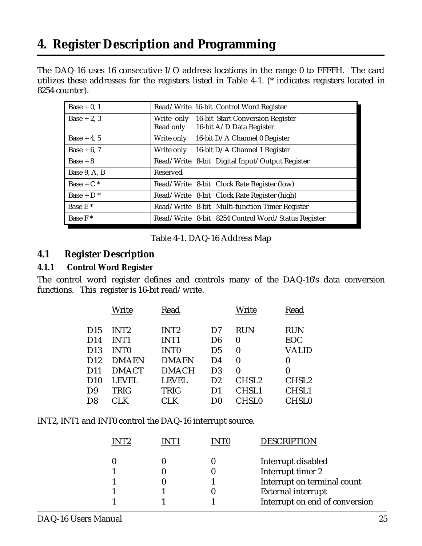# <span id="page-24-0"></span>**4. Register Description and Programming**

The DAQ-16 uses 16 consecutive I/O address locations in the range 0 to FFFFH. The card utilizes these addresses for the registers listed in Table 4-1. (\* indicates registers located in 8254 counter).

| Base $+0, 1$        | Read/Write 16-bit Control Word Register                                              |
|---------------------|--------------------------------------------------------------------------------------|
| $Base + 2, 3$       | Write only 16-bit Start Conversion Register<br>Read only<br>16-bit A/D Data Register |
| Base $+4, 5$        | 16-bit D/A Channel 0 Register<br>Write only                                          |
| Base $+6, 7$        | 16-bit D/A Channel 1 Register<br>Write only                                          |
| $Base + 8$          | Read/Write 8-bit Digital Input/Output Register                                       |
| Base 9, A, B        | Reserved                                                                             |
| $Base + C^*$        | Read/Write 8-bit Clock Rate Register (low)                                           |
| $Base + D^*$        | Read/Write 8-bit Clock Rate Register (high)                                          |
| Base E <sup>*</sup> | Read/Write 8-bit Multi-function Timer Register                                       |
| Base $F^*$          | Read/Write 8-bit 8254 Control Word/Status Register                                   |

#### Table 4-1. DAQ-16 Address Map

#### **4.1 Register Description**

#### **4.1.1 Control Word Register**

The control word register defines and controls many of the DAQ-16's data conversion functions. This register is 16-bit read/write.

|                 | Write            | Read             |                | Write             | Read              |
|-----------------|------------------|------------------|----------------|-------------------|-------------------|
| D <sub>15</sub> | INT <sub>2</sub> | INT <sub>2</sub> | D7             | <b>RUN</b>        | <b>RUN</b>        |
| D <sub>14</sub> | INT <sub>1</sub> | INT <sub>1</sub> | D <sub>6</sub> | $\bf{0}$          | <b>EOC</b>        |
| D <sub>13</sub> | <b>INTO</b>      | <b>INTO</b>      | D <sub>5</sub> | $\bf{0}$          | VALID             |
| D <sub>12</sub> | <b>DMAEN</b>     | <b>DMAEN</b>     | D4             | $\bf{0}$          | 0                 |
| D11             | <b>DMACT</b>     | <b>DMACH</b>     | D <sub>3</sub> | $\bf{0}$          | $\bf{0}$          |
| D10             | <b>LEVEL</b>     | <b>LEVEL</b>     | D2             | CHSL <sub>2</sub> | CHSL <sub>2</sub> |
| D9              | <b>TRIG</b>      | <b>TRIG</b>      | D1             | CHSL1             | CHSL1             |
| D8              | CLK              | CLK              | DO             | <b>CHSL0</b>      | <b>CHSL0</b>      |
|                 |                  |                  |                |                   |                   |

INT2, INT1 and INT0 control the DAQ-16 interrupt source.

|  |  | <b>DESCRIPTION</b>             |
|--|--|--------------------------------|
|  |  | Interrupt disabled             |
|  |  | Interrupt timer 2              |
|  |  | Interrupt on terminal count    |
|  |  | <b>External interrupt</b>      |
|  |  | Interrupt on end of conversion |
|  |  |                                |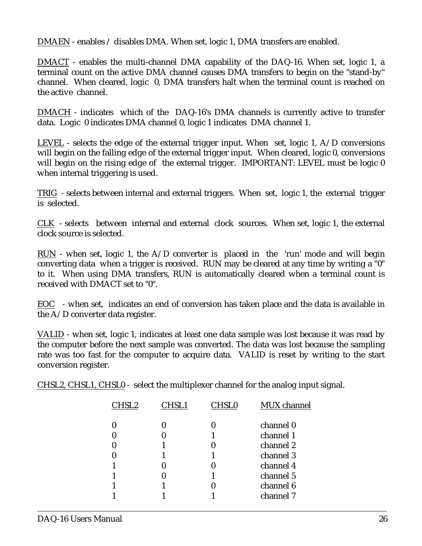DMAEN - enables / disables DMA. When set, logic 1, DMA transfers are enabled.

DMACT - enables the multi-channel DMA capability of the DAQ-16. When set, logic 1, a terminal count on the active DMA channel causes DMA transfers to begin on the "stand-by" channel. When cleared, logic 0, DMA transfers halt when the terminal count is reached on the active channel.

DMACH - indicates which of the DAQ-16's DMA channels is currently active to transfer data. Logic 0 indicates DMA channel 0, logic 1 indicates DMA channel 1.

LEVEL - selects the edge of the external trigger input. When set, logic 1,  $A/D$  conversions will begin on the falling edge of the external trigger input. When cleared, logic 0, conversions will begin on the rising edge of the external trigger. IMPORTANT: LEVEL must be logic 0 when internal triggering is used.

TRIG - selects between internal and external triggers. When set, logic 1, the external trigger is selected.

CLK - selects between internal and external clock sources. When set, logic 1, the external clock source is selected.

RUN - when set, logic 1, the A/D converter is placed in the 'run' mode and will begin converting data when a trigger is received. RUN may be cleared at any time by writing a "0" to it. When using DMA transfers, RUN is automatically cleared when a terminal count is received with DMACT set to "0".

EOC - when set, indicates an end of conversion has taken place and the data is available in the A/D converter data register.

VALID - when set, logic 1, indicates at least one data sample was lost because it was read by the computer before the next sample was converted. The data was lost because the sampling rate was too fast for the computer to acquire data. VALID is reset by writing to the start conversion register.

CHSL2, CHSL1, CHSL0 - select the multiplexer channel for the analog input signal.

|   | <b>CHSL0</b> | MUX channel            |
|---|--------------|------------------------|
|   |              | channel 0              |
|   |              | channel 1<br>channel 2 |
| U |              | channel 3              |
|   |              | channel 4              |
|   |              | channel 5              |
|   |              | channel 6              |
|   |              | channel 7              |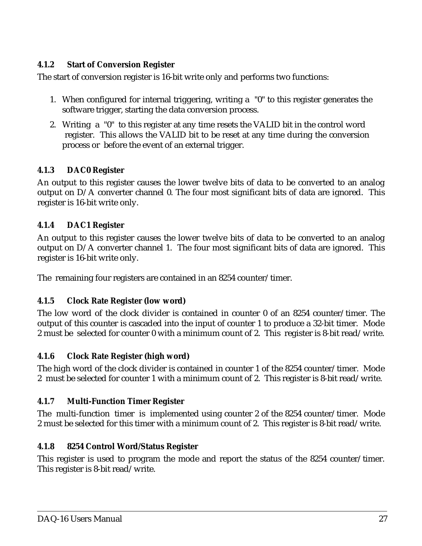#### **4.1.2 Start of Conversion Register**

The start of conversion register is 16-bit write only and performs two functions:

- 1. When configured for internal triggering, writing a "0" to this register generates the software trigger, starting the data conversion process.
- 2. Writing a "0" to this register at any time resets the VALID bit in the control word register. This allows the VALID bit to be reset at any time during the conversion process or before the event of an external trigger.

#### **4.1.3 DAC0 Register**

An output to this register causes the lower twelve bits of data to be converted to an analog output on D/A converter channel 0. The four most significant bits of data are ignored. This register is 16-bit write only.

#### **4.1.4 DAC1 Register**

An output to this register causes the lower twelve bits of data to be converted to an analog output on D/A converter channel 1. The four most significant bits of data are ignored. This register is 16-bit write only.

The remaining four registers are contained in an 8254 counter/timer.

#### **4.1.5 Clock Rate Register (low word)**

The low word of the clock divider is contained in counter 0 of an 8254 counter/timer. The output of this counter is cascaded into the input of counter 1 to produce a 32-bit timer. Mode 2 must be selected for counter 0 with a minimum count of 2. This register is 8-bit read/write.

#### **4.1.6 Clock Rate Register (high word)**

The high word of the clock divider is contained in counter 1 of the 8254 counter/timer. Mode 2 must be selected for counter 1 with a minimum count of 2. This register is 8-bit read/write.

#### **4.1.7 Multi-Function Timer Register**

The multi-function timer is implemented using counter 2 of the 8254 counter/timer. Mode 2 must be selected for this timer with a minimum count of 2. This register is 8-bit read/write.

#### **4.1.8 8254 Control Word/Status Register**

This register is used to program the mode and report the status of the 8254 counter/timer. This register is 8-bit read/write.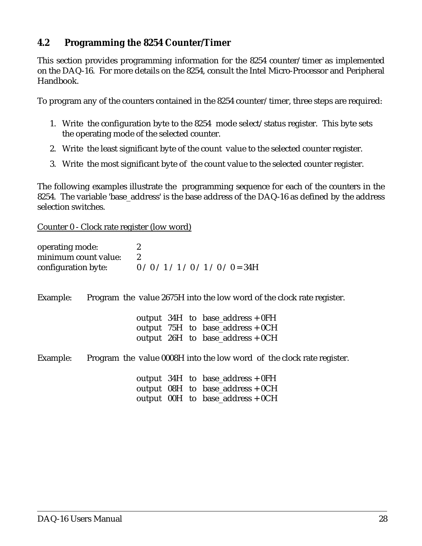#### **4.2 Programming the 8254 Counter/Timer**

This section provides programming information for the 8254 counter/timer as implemented on the DAQ-16. For more details on the 8254, consult the Intel Micro-Processor and Peripheral Handbook.

To program any of the counters contained in the 8254 counter/timer, three steps are required:

- 1. Write the configuration byte to the 8254 mode select/status register. This byte sets the operating mode of the selected counter.
- 2. Write the least significant byte of the count value to the selected counter register.
- 3. Write the most significant byte of the count value to the selected counter register.

The following examples illustrate the programming sequence for each of the counters in the 8254. The variable 'base\_address' is the base address of the DAQ-16 as defined by the address selection switches.

Counter 0 - Clock rate register (low word)

| operating mode:<br>minimum count value:<br>configuration byte: $0/0/1/1/0/1/0$ / 0 = 34H | $\boldsymbol{2}$<br>$\boldsymbol{2}$ |  |                                                                                                                |
|------------------------------------------------------------------------------------------|--------------------------------------|--|----------------------------------------------------------------------------------------------------------------|
| Example:                                                                                 |                                      |  | Program the value 2675H into the low word of the clock rate register.                                          |
|                                                                                          |                                      |  | output $34H$ to base_address + 0FH<br>output $75H$ to base_address + 0CH<br>output $26H$ to base_address + 0CH |
| Example:                                                                                 |                                      |  | Program the value 0008H into the low word of the clock rate register.                                          |
|                                                                                          |                                      |  | output $34H$ to base_address + 0FH<br>output $08H$ to base_address + 0CH<br>output 00H to base_address + 0CH   |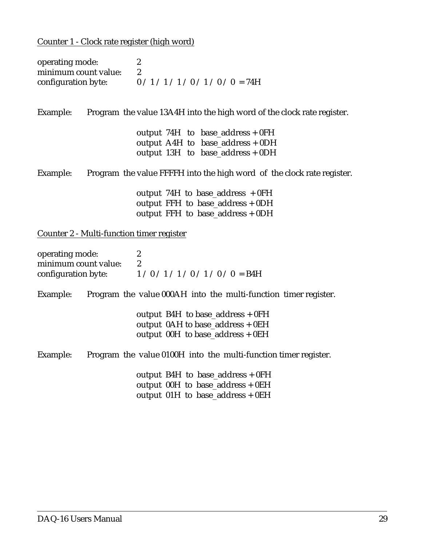Counter 1 - Clock rate register (high word)

| $\boldsymbol{2}$<br>$\boldsymbol{2}$<br>minimum count value:<br>configuration byte: $0/1/1/1/0/1/0/0 = 74H$ |
|-------------------------------------------------------------------------------------------------------------|
| Program the value 13A4H into the high word of the clock rate register.                                      |
| output $74H$ to base_address + 0FH                                                                          |
| output A4H to $base\_address + 0DH$                                                                         |
| output 13H to base_address + 0DH                                                                            |
| Program the value FFFFH into the high word of the clock rate register.                                      |
| output 74H to base_address $+0FH$                                                                           |
| output FFH to base_address $+$ 0DH                                                                          |
| output FFH to base_address $+$ 0DH                                                                          |
| Counter 2 - Multi-function timer register                                                                   |
| $\boldsymbol{2}$                                                                                            |
| $\overline{2}$<br>minimum count value:                                                                      |
| configuration byte: $1/0/1/1/0/1/0/0 = B4H$                                                                 |
|                                                                                                             |

Example: Program the value 000AH into the multi-function timer register.

| output B4H to base_address $+ 0FH$   |
|--------------------------------------|
| output $0AH$ to base_address + $0EH$ |
| output $00H$ to base_address + $0EH$ |

Example: Program the value 0100H into the multi-function timer register.

 output B4H to base\_address + 0FH output 00H to base\_address + 0EH output 01H to base\_address + 0EH